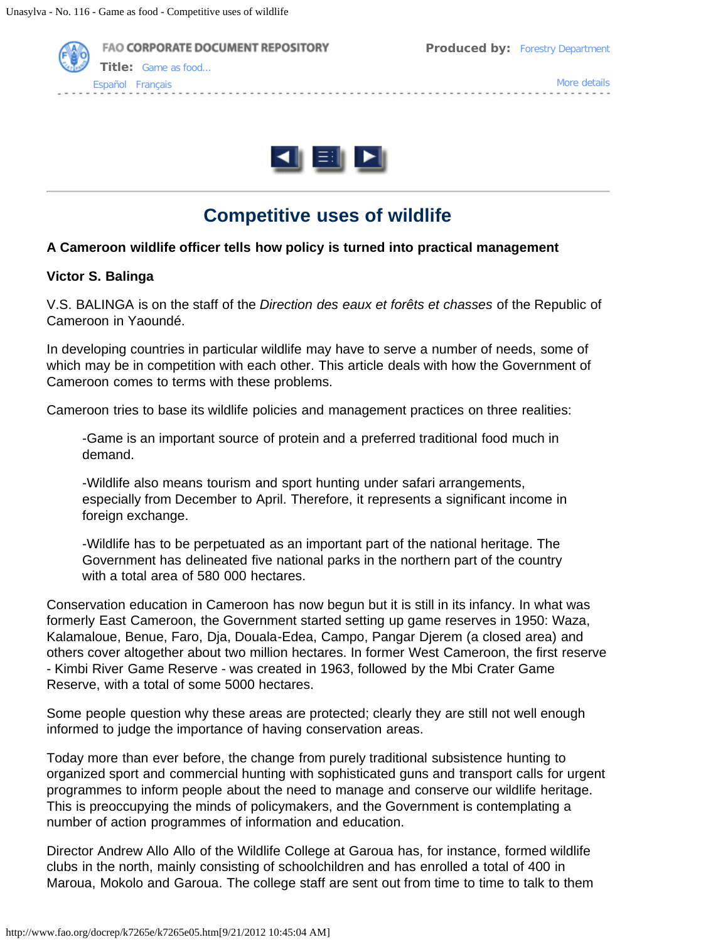



# **Competitive uses of wildlife**

### **A Cameroon wildlife officer tells how policy is turned into practical management**

#### **Victor S. Balinga**

V.S. BALINGA is on the staff of the *Direction des eaux et forêts et chasses* of the Republic of Cameroon in Yaoundé.

In developing countries in particular wildlife may have to serve a number of needs, some of which may be in competition with each other. This article deals with how the Government of Cameroon comes to terms with these problems.

Cameroon tries to base its wildlife policies and management practices on three realities:

-Game is an important source of protein and a preferred traditional food much in demand.

-Wildlife also means tourism and sport hunting under safari arrangements, especially from December to April. Therefore, it represents a significant income in foreign exchange.

-Wildlife has to be perpetuated as an important part of the national heritage. The Government has delineated five national parks in the northern part of the country with a total area of 580 000 hectares.

Conservation education in Cameroon has now begun but it is still in its infancy. In what was formerly East Cameroon, the Government started setting up game reserves in 1950: Waza, Kalamaloue, Benue, Faro, Dja, Douala-Edea, Campo, Pangar Djerem (a closed area) and others cover altogether about two million hectares. In former West Cameroon, the first reserve - Kimbi River Game Reserve - was created in 1963, followed by the Mbi Crater Game Reserve, with a total of some 5000 hectares.

Some people question why these areas are protected; clearly they are still not well enough informed to judge the importance of having conservation areas.

Today more than ever before, the change from purely traditional subsistence hunting to organized sport and commercial hunting with sophisticated guns and transport calls for urgent programmes to inform people about the need to manage and conserve our wildlife heritage. This is preoccupying the minds of policymakers, and the Government is contemplating a number of action programmes of information and education.

Director Andrew Allo Allo of the Wildlife College at Garoua has, for instance, formed wildlife clubs in the north, mainly consisting of schoolchildren and has enrolled a total of 400 in Maroua, Mokolo and Garoua. The college staff are sent out from time to time to talk to them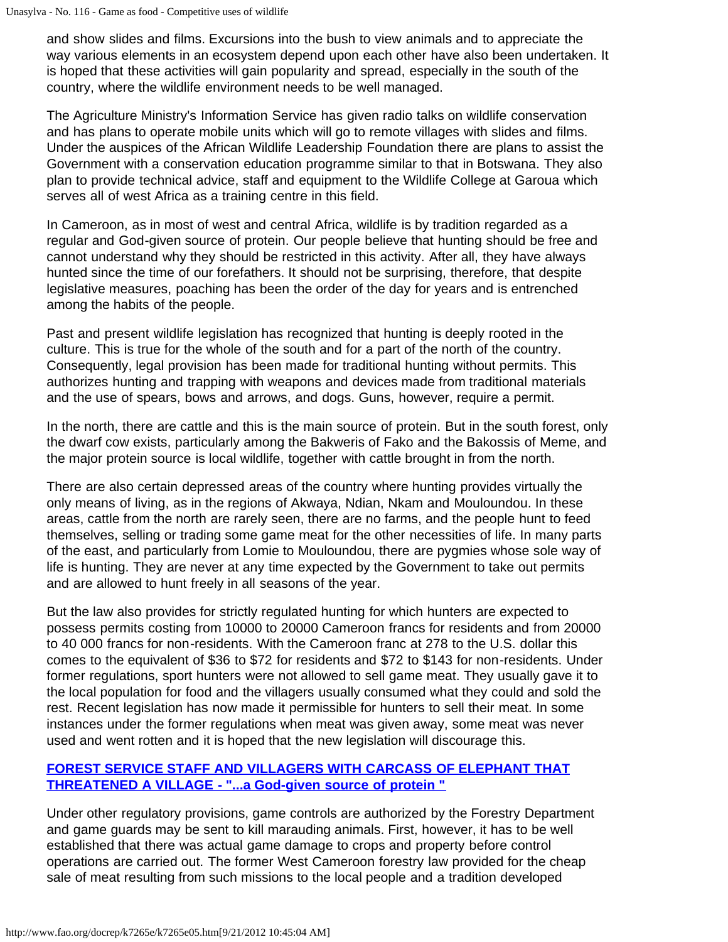and show slides and films. Excursions into the bush to view animals and to appreciate the way various elements in an ecosystem depend upon each other have also been undertaken. It is hoped that these activities will gain popularity and spread, especially in the south of the country, where the wildlife environment needs to be well managed.

The Agriculture Ministry's Information Service has given radio talks on wildlife conservation and has plans to operate mobile units which will go to remote villages with slides and films. Under the auspices of the African Wildlife Leadership Foundation there are plans to assist the Government with a conservation education programme similar to that in Botswana. They also plan to provide technical advice, staff and equipment to the Wildlife College at Garoua which serves all of west Africa as a training centre in this field.

In Cameroon, as in most of west and central Africa, wildlife is by tradition regarded as a regular and God-given source of protein. Our people believe that hunting should be free and cannot understand why they should be restricted in this activity. After all, they have always hunted since the time of our forefathers. It should not be surprising, therefore, that despite legislative measures, poaching has been the order of the day for years and is entrenched among the habits of the people.

Past and present wildlife legislation has recognized that hunting is deeply rooted in the culture. This is true for the whole of the south and for a part of the north of the country. Consequently, legal provision has been made for traditional hunting without permits. This authorizes hunting and trapping with weapons and devices made from traditional materials and the use of spears, bows and arrows, and dogs. Guns, however, require a permit.

In the north, there are cattle and this is the main source of protein. But in the south forest, only the dwarf cow exists, particularly among the Bakweris of Fako and the Bakossis of Meme, and the major protein source is local wildlife, together with cattle brought in from the north.

There are also certain depressed areas of the country where hunting provides virtually the only means of living, as in the regions of Akwaya, Ndian, Nkam and Mouloundou. In these areas, cattle from the north are rarely seen, there are no farms, and the people hunt to feed themselves, selling or trading some game meat for the other necessities of life. In many parts of the east, and particularly from Lomie to Mouloundou, there are pygmies whose sole way of life is hunting. They are never at any time expected by the Government to take out permits and are allowed to hunt freely in all seasons of the year.

But the law also provides for strictly regulated hunting for which hunters are expected to possess permits costing from 10000 to 20000 Cameroon francs for residents and from 20000 to 40 000 francs for non-residents. With the Cameroon franc at 278 to the U.S. dollar this comes to the equivalent of \$36 to \$72 for residents and \$72 to \$143 for non-residents. Under former regulations, sport hunters were not allowed to sell game meat. They usually gave it to the local population for food and the villagers usually consumed what they could and sold the rest. Recent legislation has now made it permissible for hunters to sell their meat. In some instances under the former regulations when meat was given away, some meat was never used and went rotten and it is hoped that the new legislation will discourage this.

# **[FOREST SERVICE STAFF AND VILLAGERS WITH CARCASS OF ELEPHANT THAT](http://www.fao.org/docrep/k7265e/k7265e0p.jpg) [THREATENED A VILLAGE - "...a God-given source of protein "](http://www.fao.org/docrep/k7265e/k7265e0p.jpg)**

Under other regulatory provisions, game controls are authorized by the Forestry Department and game guards may be sent to kill marauding animals. First, however, it has to be well established that there was actual game damage to crops and property before control operations are carried out. The former West Cameroon forestry law provided for the cheap sale of meat resulting from such missions to the local people and a tradition developed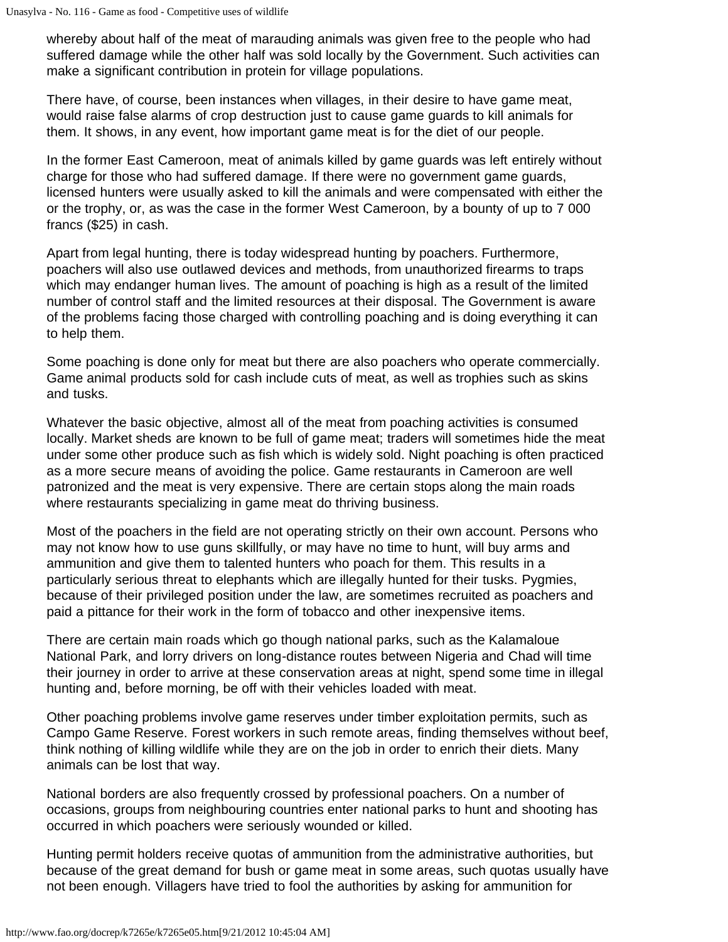whereby about half of the meat of marauding animals was given free to the people who had suffered damage while the other half was sold locally by the Government. Such activities can make a significant contribution in protein for village populations.

There have, of course, been instances when villages, in their desire to have game meat, would raise false alarms of crop destruction just to cause game guards to kill animals for them. It shows, in any event, how important game meat is for the diet of our people.

In the former East Cameroon, meat of animals killed by game guards was left entirely without charge for those who had suffered damage. If there were no government game guards, licensed hunters were usually asked to kill the animals and were compensated with either the or the trophy, or, as was the case in the former West Cameroon, by a bounty of up to 7 000 francs (\$25) in cash.

Apart from legal hunting, there is today widespread hunting by poachers. Furthermore, poachers will also use outlawed devices and methods, from unauthorized firearms to traps which may endanger human lives. The amount of poaching is high as a result of the limited number of control staff and the limited resources at their disposal. The Government is aware of the problems facing those charged with controlling poaching and is doing everything it can to help them.

Some poaching is done only for meat but there are also poachers who operate commercially. Game animal products sold for cash include cuts of meat, as well as trophies such as skins and tusks.

Whatever the basic objective, almost all of the meat from poaching activities is consumed locally. Market sheds are known to be full of game meat; traders will sometimes hide the meat under some other produce such as fish which is widely sold. Night poaching is often practiced as a more secure means of avoiding the police. Game restaurants in Cameroon are well patronized and the meat is very expensive. There are certain stops along the main roads where restaurants specializing in game meat do thriving business.

Most of the poachers in the field are not operating strictly on their own account. Persons who may not know how to use guns skillfully, or may have no time to hunt, will buy arms and ammunition and give them to talented hunters who poach for them. This results in a particularly serious threat to elephants which are illegally hunted for their tusks. Pygmies, because of their privileged position under the law, are sometimes recruited as poachers and paid a pittance for their work in the form of tobacco and other inexpensive items.

There are certain main roads which go though national parks, such as the Kalamaloue National Park, and lorry drivers on long-distance routes between Nigeria and Chad will time their journey in order to arrive at these conservation areas at night, spend some time in illegal hunting and, before morning, be off with their vehicles loaded with meat.

Other poaching problems involve game reserves under timber exploitation permits, such as Campo Game Reserve. Forest workers in such remote areas, finding themselves without beef, think nothing of killing wildlife while they are on the job in order to enrich their diets. Many animals can be lost that way.

National borders are also frequently crossed by professional poachers. On a number of occasions, groups from neighbouring countries enter national parks to hunt and shooting has occurred in which poachers were seriously wounded or killed.

Hunting permit holders receive quotas of ammunition from the administrative authorities, but because of the great demand for bush or game meat in some areas, such quotas usually have not been enough. Villagers have tried to fool the authorities by asking for ammunition for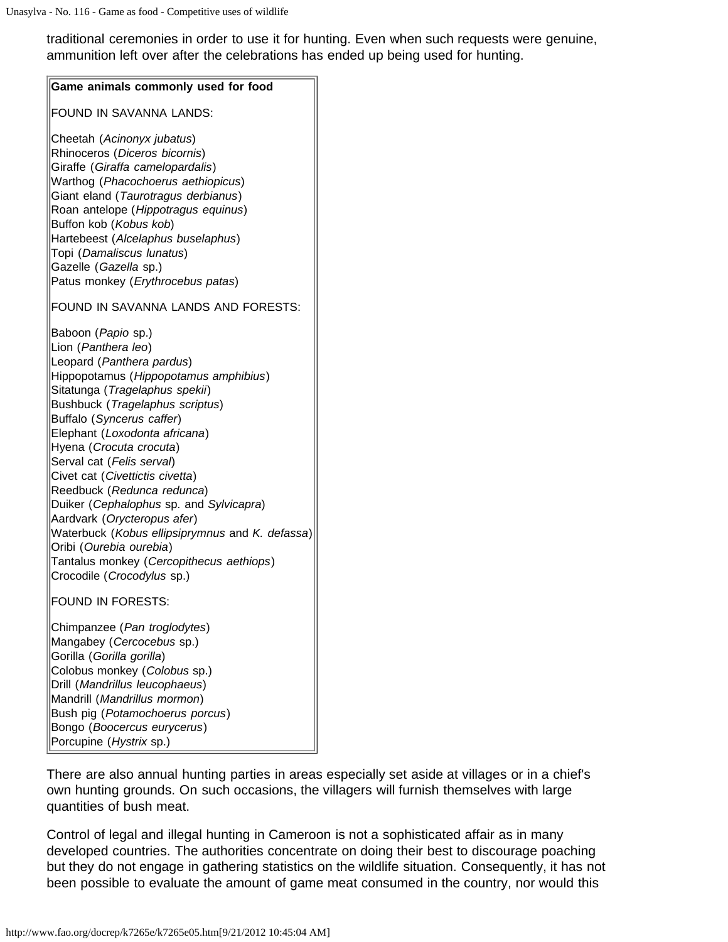traditional ceremonies in order to use it for hunting. Even when such requests were genuine, ammunition left over after the celebrations has ended up being used for hunting.

| Game animals commonly used for food                                                                                                                                                                                                                                                                                                                                                                                                                                                                                                                                                                           |
|---------------------------------------------------------------------------------------------------------------------------------------------------------------------------------------------------------------------------------------------------------------------------------------------------------------------------------------------------------------------------------------------------------------------------------------------------------------------------------------------------------------------------------------------------------------------------------------------------------------|
| FOUND IN SAVANNA LANDS:                                                                                                                                                                                                                                                                                                                                                                                                                                                                                                                                                                                       |
| Cheetah (Acinonyx jubatus)<br>Rhinoceros (Diceros bicornis)<br>Giraffe (Giraffa camelopardalis)<br>Warthog (Phacochoerus aethiopicus)<br>Giant eland (Taurotragus derbianus)<br>Roan antelope (Hippotragus equinus)<br>Buffon kob (Kobus kob)<br>Hartebeest (Alcelaphus buselaphus)<br>Topi (Damaliscus lunatus)<br>Gazelle (Gazella sp.)<br>Patus monkey (Erythrocebus patas)                                                                                                                                                                                                                                |
| FOUND IN SAVANNA LANDS AND FORESTS:                                                                                                                                                                                                                                                                                                                                                                                                                                                                                                                                                                           |
| Baboon (Papio sp.)<br>Lion (Panthera leo)<br>Leopard (Panthera pardus)<br>Hippopotamus (Hippopotamus amphibius)<br>Sitatunga (Tragelaphus spekii)<br>Bushbuck (Tragelaphus scriptus)<br>Buffalo (Syncerus caffer)<br>Elephant (Loxodonta africana)<br>Hyena (Crocuta crocuta)<br>Serval cat (Felis serval)<br>Civet cat (Civettictis civetta)<br>Reedbuck (Redunca redunca)<br>Duiker (Cephalophus sp. and Sylvicapra)<br>Aardvark (Orycteropus afer)<br>Waterbuck (Kobus ellipsiprymnus and K. defassa)<br>Oribi (Ourebia ourebia)<br>Tantalus monkey (Cercopithecus aethiops)<br>Crocodile (Crocodylus sp.) |
| <b>FOUND IN FORESTS:</b><br>Chimpanzee (Pan troglodytes)<br>Mangabey (Cercocebus sp.)<br>Gorilla (Gorilla gorilla)<br>Colobus monkey (Colobus sp.)<br>Drill (Mandrillus leucophaeus)<br>Mandrill (Mandrillus mormon)<br>Bush pig (Potamochoerus porcus)<br>Bongo (Boocercus eurycerus)<br>Porcupine (Hystrix sp.)                                                                                                                                                                                                                                                                                             |

There are also annual hunting parties in areas especially set aside at villages or in a chief's own hunting grounds. On such occasions, the villagers will furnish themselves with large quantities of bush meat.

Control of legal and illegal hunting in Cameroon is not a sophisticated affair as in many developed countries. The authorities concentrate on doing their best to discourage poaching but they do not engage in gathering statistics on the wildlife situation. Consequently, it has not been possible to evaluate the amount of game meat consumed in the country, nor would this